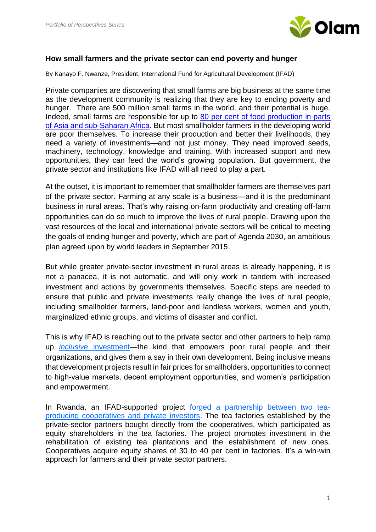

## **How small farmers and the private sector can end poverty and hunger**

By Kanayo F. Nwanze, President, International Fund for Agricultural Development (IFAD)

Private companies are discovering that small farms are big business at the same time as the development community is realizing that they are key to ending poverty and hunger. There are 500 million small farms in the world, and their potential is huge. Indeed, small farms are responsible for up to [80 per cent of food production in parts](https://www.ifad.org/documents/10180/ca86ab2d-74f0-42a5-b4b6-5e476d321619)  [of Asia and sub-Saharan Africa.](https://www.ifad.org/documents/10180/ca86ab2d-74f0-42a5-b4b6-5e476d321619) But most smallholder farmers in the developing world are poor themselves. To increase their production and better their livelihoods, they need a variety of investments—and not just money. They need improved seeds, machinery, technology, knowledge and training. With increased support and new opportunities, they can feed the world's growing population. But government, the private sector and institutions like IFAD will all need to play a part.

At the outset, it is important to remember that smallholder farmers are themselves part of the private sector. Farming at any scale is a business—and it is the predominant business in rural areas. That's why raising on-farm productivity and creating off-farm opportunities can do so much to improve the lives of rural people. Drawing upon the vast resources of the local and international private sectors will be critical to meeting the goals of ending hunger and poverty, which are part of Agenda 2030, an ambitious plan agreed upon by world leaders in September 2015.

But while greater private-sector investment in rural areas is already happening, it is not a panacea, it is not automatic, and will only work in tandem with increased investment and actions by governments themselves. Specific steps are needed to ensure that public and private investments really change the lives of rural people, including smallholder farmers, land-poor and landless workers, women and youth, marginalized ethnic groups, and victims of disaster and conflict.

This is why IFAD is reaching out to the private sector and other partners to help ramp up *inclusive* [investment—](https://webapps.ifad.org/members/gc/39/docs/thematicnote-e-web.pdf)the kind that empowers poor rural people and their organizations, and gives them a say in their own development. Being inclusive means that development projects result in fair prices for smallholders, opportunities to connect to high-value markets, decent employment opportunities, and women's participation and empowerment.

In Rwanda, an IFAD-supported project [forged a partnership between two tea](https://www.ifad.org/documents/10180/1e87cdb1-215c-4b57-bd78-a444a2721456)[producing cooperatives and private investors.](https://www.ifad.org/documents/10180/1e87cdb1-215c-4b57-bd78-a444a2721456) The tea factories established by the private-sector partners bought directly from the cooperatives, which participated as equity shareholders in the tea factories. The project promotes investment in the rehabilitation of existing tea plantations and the establishment of new ones. Cooperatives acquire equity shares of 30 to 40 per cent in factories. It's a win-win approach for farmers and their private sector partners.